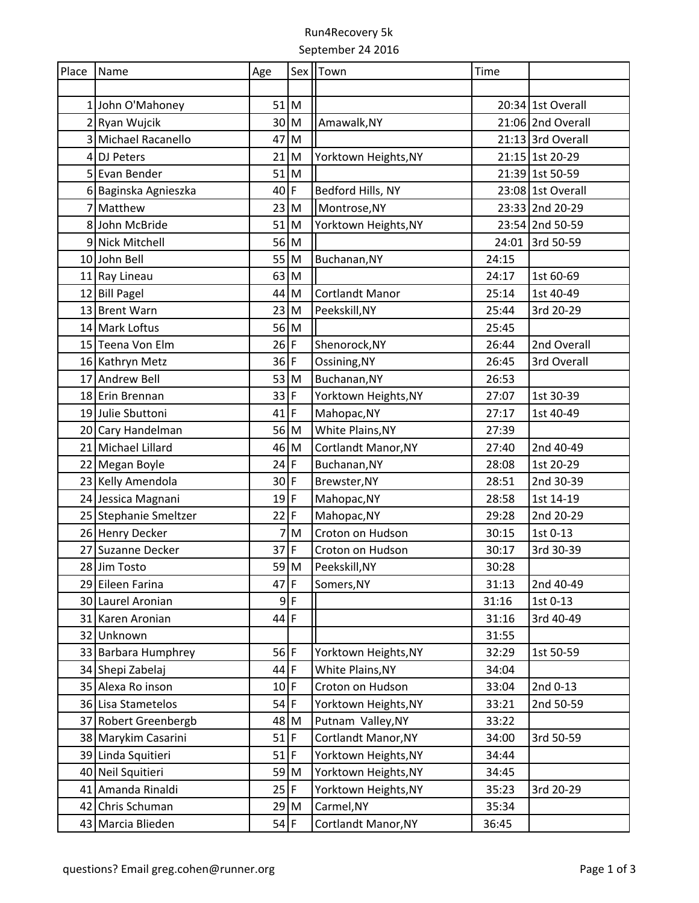## Run4Recovery 5k September 24 2016

| Place Name |                       | Age            |             | Sex   Town                 | Time  |                   |
|------------|-----------------------|----------------|-------------|----------------------------|-------|-------------------|
|            |                       |                |             |                            |       |                   |
|            | 1 John O'Mahoney      | $51$ M         |             |                            |       | 20:34 1st Overall |
|            | 2 Ryan Wujcik         | $30$ M         |             | Amawalk, NY                |       | 21:06 2nd Overall |
|            | 3 Michael Racanello   | 47             | M           |                            |       | 21:13 3rd Overall |
|            | 4 DJ Peters           | 21             | M           | Yorktown Heights, NY       |       | 21:15 1st 20-29   |
|            | 5 Evan Bender         | 51             | M           |                            |       | 21:39 1st 50-59   |
|            | 6 Baginska Agnieszka  | 40             | F           | Bedford Hills, NY          |       | 23:08 1st Overall |
|            | 7 Matthew             | 23 M           |             | Montrose, NY               |       | 23:33 2nd 20-29   |
|            | 8 John McBride        | 51             | M           | Yorktown Heights, NY       |       | 23:54 2nd 50-59   |
|            | 9 Nick Mitchell       | 56 M           |             |                            |       | 24:01 3rd 50-59   |
|            | 10 John Bell          | 55 M           |             | Buchanan, NY               | 24:15 |                   |
|            | 11 Ray Lineau         | 63             | M           |                            | 24:17 | 1st 60-69         |
|            | 12 Bill Pagel         | 44             | M           | <b>Cortlandt Manor</b>     | 25:14 | 1st 40-49         |
|            | 13 Brent Warn         | 23             | M           | Peekskill, NY              | 25:44 | 3rd 20-29         |
|            | 14 Mark Loftus        | 56 M           |             |                            | 25:45 |                   |
|            | 15 Teena Von Elm      | $26$ F         |             | Shenorock, NY              | 26:44 | 2nd Overall       |
|            | 16 Kathryn Metz       | $36$ F         |             | Ossining, NY               | 26:45 | 3rd Overall       |
|            | 17 Andrew Bell        | 53             | M           | Buchanan, NY               | 26:53 |                   |
|            | 18 Erin Brennan       | $33$ F         |             | Yorktown Heights, NY       | 27:07 | 1st 30-39         |
|            | 19 Julie Sbuttoni     | 41             | $\mathsf F$ | Mahopac, NY                | 27:17 | 1st 40-49         |
|            | 20 Cary Handelman     | 56 M           |             | White Plains, NY           | 27:39 |                   |
|            | 21 Michael Lillard    | 46 M           |             | Cortlandt Manor, NY        | 27:40 | 2nd 40-49         |
|            | 22 Megan Boyle        | 24             | F           | Buchanan, NY               | 28:08 | 1st 20-29         |
|            | 23 Kelly Amendola     | 30             | F           | Brewster, NY               | 28:51 | 2nd 30-39         |
|            | 24 Jessica Magnani    | $19$ F         |             | Mahopac, NY                | 28:58 | 1st 14-19         |
|            | 25 Stephanie Smeltzer | 22             | F           | Mahopac, NY                | 29:28 | 2nd 20-29         |
|            | 26 Henry Decker       | $\overline{7}$ | M           | Croton on Hudson           | 30:15 | 1st 0-13          |
|            | 27 Suzanne Decker     | 37             | $\mathsf F$ | Croton on Hudson           | 30:17 | 3rd 30-39         |
|            | 28 Jim Tosto          | $59$ M         |             | Peekskill, NY              | 30:28 |                   |
|            | 29 Eileen Farina      | $47$ F         |             | Somers, NY                 | 31:13 | 2nd 40-49         |
|            | 30 Laurel Aronian     | 9              | $\mathsf F$ |                            | 31:16 | 1st 0-13          |
|            | 31 Karen Aronian      | 44             | F           |                            | 31:16 | 3rd 40-49         |
|            | 32 Unknown            |                |             |                            | 31:55 |                   |
|            | 33 Barbara Humphrey   | $56$ F         |             | Yorktown Heights, NY       | 32:29 | 1st 50-59         |
|            | 34 Shepi Zabelaj      | 44             | F           | White Plains, NY           | 34:04 |                   |
|            | 35 Alexa Ro inson     | 10             | F           | Croton on Hudson           | 33:04 | 2nd 0-13          |
|            | 36 Lisa Stametelos    | 54             | F           | Yorktown Heights, NY       | 33:21 | 2nd 50-59         |
|            | 37 Robert Greenbergb  | 48 M           |             | Putnam Valley, NY          | 33:22 |                   |
|            | 38 Marykim Casarini   | 51             | F           | <b>Cortlandt Manor, NY</b> | 34:00 | 3rd 50-59         |
|            | 39 Linda Squitieri    | 51             | F           | Yorktown Heights, NY       | 34:44 |                   |
|            | 40 Neil Squitieri     | 59 M           |             | Yorktown Heights, NY       | 34:45 |                   |
|            | 41 Amanda Rinaldi     | $25$ F         |             | Yorktown Heights, NY       | 35:23 | 3rd 20-29         |
|            | 42 Chris Schuman      | $29$ M         |             | Carmel, NY                 | 35:34 |                   |
|            | 43 Marcia Blieden     | $54$ F         |             | Cortlandt Manor, NY        | 36:45 |                   |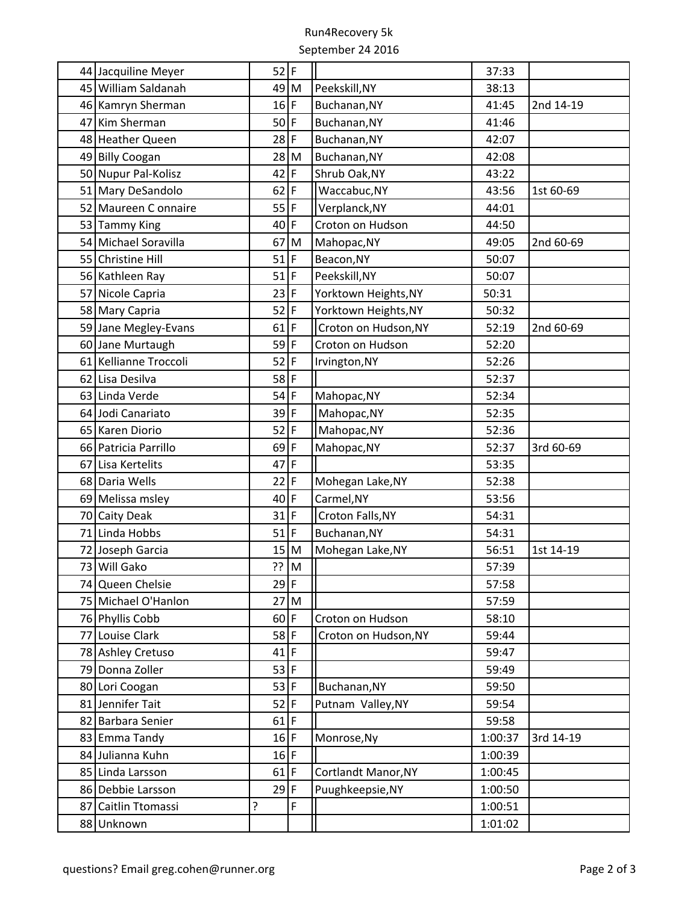## Run4Recovery 5k September 24 2016

| 44 Jacquiline Meyer   | $52$ F |                |                      | 37:33   |           |
|-----------------------|--------|----------------|----------------------|---------|-----------|
| 45 William Saldanah   | 49     | M              | Peekskill, NY        | 38:13   |           |
| 46 Kamryn Sherman     | 16     | $\overline{F}$ | Buchanan, NY         | 41:45   | 2nd 14-19 |
| 47 Kim Sherman        | 50     | $\mathsf{F}$   | Buchanan, NY         | 41:46   |           |
| 48 Heather Queen      | 28     | $\overline{F}$ | Buchanan, NY         | 42:07   |           |
| 49 Billy Coogan       | 28     | M              | Buchanan, NY         | 42:08   |           |
| 50 Nupur Pal-Kolisz   | 42     | F              | Shrub Oak, NY        | 43:22   |           |
| 51 Mary DeSandolo     | 62     | F              | Waccabuc, NY         | 43:56   | 1st 60-69 |
| 52 Maureen Connaire   | 55     | $\overline{F}$ | Verplanck, NY        | 44:01   |           |
| 53 Tammy King         | 40     | F              | Croton on Hudson     | 44:50   |           |
| 54 Michael Soravilla  | 67     | M              | Mahopac, NY          | 49:05   | 2nd 60-69 |
| 55 Christine Hill     | 51     | F              | Beacon, NY           | 50:07   |           |
| 56 Kathleen Ray       | 51     | $\mathsf{F}$   | Peekskill, NY        | 50:07   |           |
| 57 Nicole Capria      | 23     | F              | Yorktown Heights, NY | 50:31   |           |
| 58 Mary Capria        | 52     | $\overline{F}$ | Yorktown Heights, NY | 50:32   |           |
| 59 Jane Megley-Evans  | 61     | F              | Croton on Hudson, NY | 52:19   | 2nd 60-69 |
| 60 Jane Murtaugh      | 59     | $\overline{F}$ | Croton on Hudson     | 52:20   |           |
| 61 Kellianne Troccoli | 52     | F              | Irvington, NY        | 52:26   |           |
| 62 Lisa Desilva       | 58     | $\overline{F}$ |                      | 52:37   |           |
| 63 Linda Verde        | 54     | F              | Mahopac, NY          | 52:34   |           |
| 64 Jodi Canariato     | 39     | $\mathsf{F}$   | Mahopac, NY          | 52:35   |           |
| 65 Karen Diorio       | 52     | F              | Mahopac, NY          | 52:36   |           |
| 66 Patricia Parrillo  | 69     | $\mathsf{F}$   | Mahopac, NY          | 52:37   | 3rd 60-69 |
| 67 Lisa Kertelits     | 47     | $\overline{F}$ |                      | 53:35   |           |
| 68 Daria Wells        | 22     | F              | Mohegan Lake, NY     | 52:38   |           |
| 69 Melissa msley      | 40     | $\mathsf F$    | Carmel, NY           | 53:56   |           |
| 70 Caity Deak         | 31     | $\mathsf F$    | Croton Falls, NY     | 54:31   |           |
| 71 Linda Hobbs        | 51     | F              | Buchanan, NY         | 54:31   |           |
| 72 Joseph Garcia      | 15     | M              | Mohegan Lake, NY     | 56:51   | 1st 14-19 |
| 73 Will Gako          | $??$ M |                |                      | 57:39   |           |
| 74 Queen Chelsie      | $29$ F |                |                      | 57:58   |           |
| 75 Michael O'Hanlon   | 27     | M              |                      | 57:59   |           |
| 76 Phyllis Cobb       | 60     | $\overline{F}$ | Croton on Hudson     | 58:10   |           |
| 77 Louise Clark       | 58     | F              | Croton on Hudson, NY | 59:44   |           |
| 78 Ashley Cretuso     | 41     | $\overline{F}$ |                      | 59:47   |           |
| 79 Donna Zoller       | 53     | $\mathsf F$    |                      | 59:49   |           |
| 80 Lori Coogan        | 53     | $\mathsf F$    | Buchanan, NY         | 59:50   |           |
| 81 Jennifer Tait      | 52     | F              | Putnam Valley, NY    | 59:54   |           |
| 82 Barbara Senier     | 61     | F              |                      | 59:58   |           |
| 83 Emma Tandy         | 16     | F              | Monrose, Ny          | 1:00:37 | 3rd 14-19 |
| 84 Julianna Kuhn      | 16     | F              |                      | 1:00:39 |           |
| 85 Linda Larsson      | 61     | $\mathsf F$    | Cortlandt Manor, NY  | 1:00:45 |           |
| 86 Debbie Larsson     | 29     | F              | Puughkeepsie, NY     | 1:00:50 |           |
| 87 Caitlin Ttomassi   | 5.     | F              |                      | 1:00:51 |           |
| 88 Unknown            |        |                |                      | 1:01:02 |           |